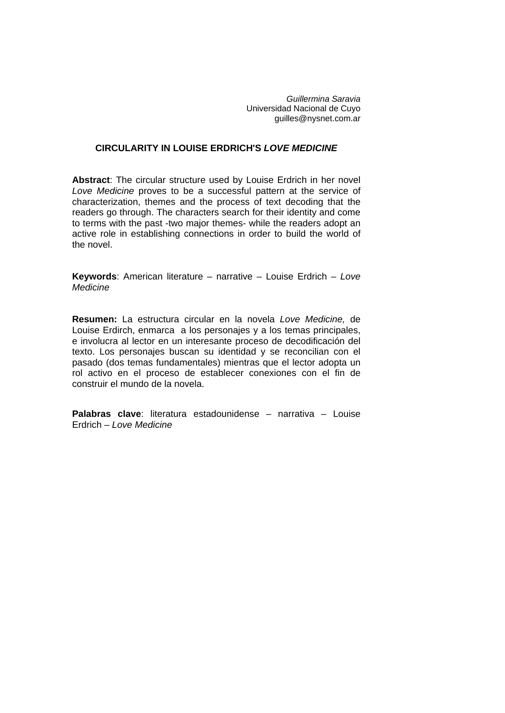*Guillermina Saravia*  Universidad Nacional de Cuyo [guilles@nysnet.com.ar](mailto:guilles@nysnet.com.ar)

### **CIRCULARITY IN LOUISE ERDRICH'S** *LOVE MEDICINE*

**Abstract**: The circular structure used by Louise Erdrich in her novel *Love Medicine* proves to be a successful pattern at the service of characterization, themes and the process of text decoding that the readers go through. The characters search for their identity and come to terms with the past -two major themes- while the readers adopt an active role in establishing connections in order to build the world of the novel.

**Keywords**: American literature – narrative – Louise Erdrich – *Love Medicine*

**Resumen:** La estructura circular en la novela *Love Medicine,* de Louise Erdirch, enmarca a los personajes y a los temas principales, e involucra al lector en un interesante proceso de decodificación del texto. Los personajes buscan su identidad y se reconcilian con el pasado (dos temas fundamentales) mientras que el lector adopta un rol activo en el proceso de establecer conexiones con el fin de construir el mundo de la novela.

**Palabras clave**: literatura estadounidense – narrativa – Louise Erdrich – *Love Medicine*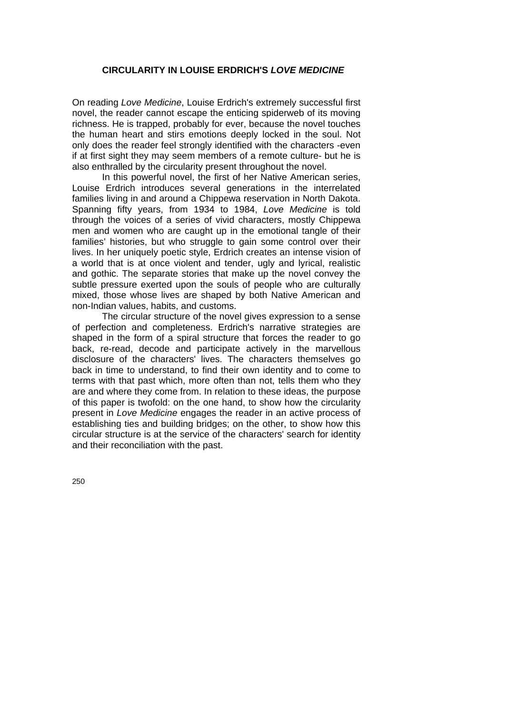## **CIRCULARITY IN LOUISE ERDRICH'S** *LOVE MEDICINE*

On reading *Love Medicine*, Louise Erdrich's extremely successful first novel, the reader cannot escape the enticing spiderweb of its moving richness. He is trapped, probably for ever, because the novel touches the human heart and stirs emotions deeply locked in the soul. Not only does the reader feel strongly identified with the characters -even if at first sight they may seem members of a remote culture- but he is also enthralled by the circularity present throughout the novel.

In this powerful novel, the first of her Native American series, Louise Erdrich introduces several generations in the interrelated families living in and around a Chippewa reservation in North Dakota. Spanning fifty years, from 1934 to 1984, *Love Medicine* is told through the voices of a series of vivid characters, mostly Chippewa men and women who are caught up in the emotional tangle of their families' histories, but who struggle to gain some control over their lives. In her uniquely poetic style, Erdrich creates an intense vision of a world that is at once violent and tender, ugly and lyrical, realistic and gothic. The separate stories that make up the novel convey the subtle pressure exerted upon the souls of people who are culturally mixed, those whose lives are shaped by both Native American and non-Indian values, habits, and customs.

 The circular structure of the novel gives expression to a sense of perfection and completeness. Erdrich's narrative strategies are shaped in the form of a spiral structure that forces the reader to go back, re-read, decode and participate actively in the marvellous disclosure of the characters' lives. The characters themselves go back in time to understand, to find their own identity and to come to terms with that past which, more often than not, tells them who they are and where they come from. In relation to these ideas, the purpose of this paper is twofold: on the one hand, to show how the circularity present in *Love Medicine* engages the reader in an active process of establishing ties and building bridges; on the other, to show how this circular structure is at the service of the characters' search for identity and their reconciliation with the past.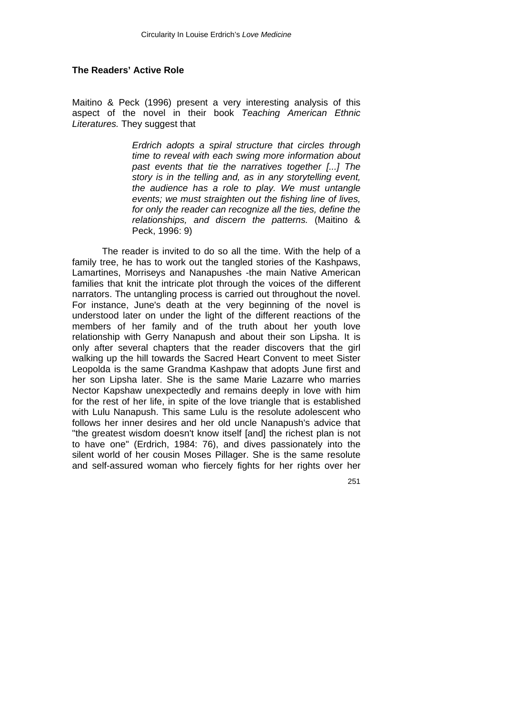# **The Readers' Active Role**

Maitino & Peck (1996) present a very interesting analysis of this aspect of the novel in their book *Teaching American Ethnic Literatures.* They suggest that

> *Erdrich adopts a spiral structure that circles through time to reveal with each swing more information about past events that tie the narratives together [...] The story is in the telling and, as in any storytelling event, the audience has a role to play. We must untangle events; we must straighten out the fishing line of lives, for only the reader can recognize all the ties, define the relationships, and discern the patterns.* (Maitino & Peck, 1996: 9)

The reader is invited to do so all the time. With the help of a family tree, he has to work out the tangled stories of the Kashpaws, Lamartines, Morriseys and Nanapushes -the main Native American families that knit the intricate plot through the voices of the different narrators. The untangling process is carried out throughout the novel. For instance, June's death at the very beginning of the novel is understood later on under the light of the different reactions of the members of her family and of the truth about her youth love relationship with Gerry Nanapush and about their son Lipsha. It is only after several chapters that the reader discovers that the girl walking up the hill towards the Sacred Heart Convent to meet Sister Leopolda is the same Grandma Kashpaw that adopts June first and her son Lipsha later. She is the same Marie Lazarre who marries Nector Kapshaw unexpectedly and remains deeply in love with him for the rest of her life, in spite of the love triangle that is established with Lulu Nanapush. This same Lulu is the resolute adolescent who follows her inner desires and her old uncle Nanapush's advice that "the greatest wisdom doesn't know itself [and] the richest plan is not to have one" (Erdrich, 1984: 76), and dives passionately into the silent world of her cousin Moses Pillager. She is the same resolute and self-assured woman who fiercely fights for her rights over her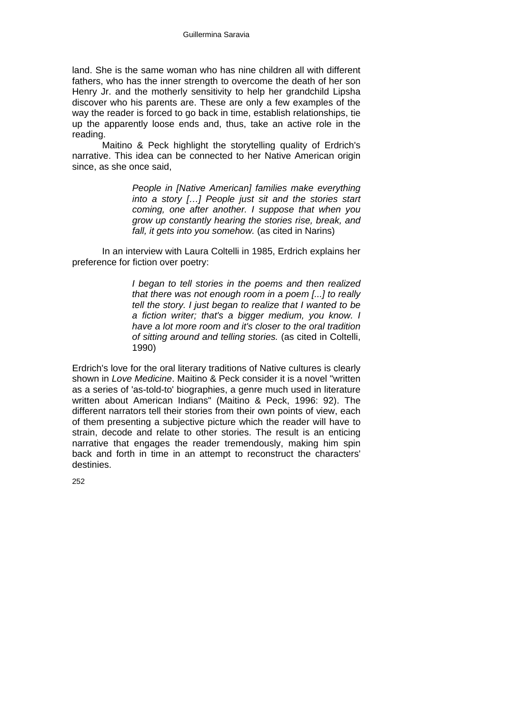land. She is the same woman who has nine children all with different fathers, who has the inner strength to overcome the death of her son Henry Jr. and the motherly sensitivity to help her grandchild Lipsha discover who his parents are. These are only a few examples of the way the reader is forced to go back in time, establish relationships, tie up the apparently loose ends and, thus, take an active role in the reading.

Maitino & Peck highlight the storytelling quality of Erdrich's narrative. This idea can be connected to her Native American origin since, as she once said,

> *People in [Native American] families make everything into a story […] People just sit and the stories start coming, one after another. I suppose that when you grow up constantly hearing the stories rise, break, and fall, it gets into you somehow.* (as cited in Narins)

In an interview with Laura Coltelli in 1985, Erdrich explains her preference for fiction over poetry:

> *I began to tell stories in the poems and then realized that there was not enough room in a poem [...] to really tell the story. I just began to realize that I wanted to be a fiction writer; that's a bigger medium, you know. I have a lot more room and it's closer to the oral tradition of sitting around and telling stories.* (as cited in Coltelli, 1990)

Erdrich's love for the oral literary traditions of Native cultures is clearly shown in *Love Medicine*. Maitino & Peck consider it is a novel "written as a series of 'as-told-to' biographies, a genre much used in literature written about American Indians" (Maitino & Peck, 1996: 92). The different narrators tell their stories from their own points of view, each of them presenting a subjective picture which the reader will have to strain, decode and relate to other stories. The result is an enticing narrative that engages the reader tremendously, making him spin back and forth in time in an attempt to reconstruct the characters' destinies.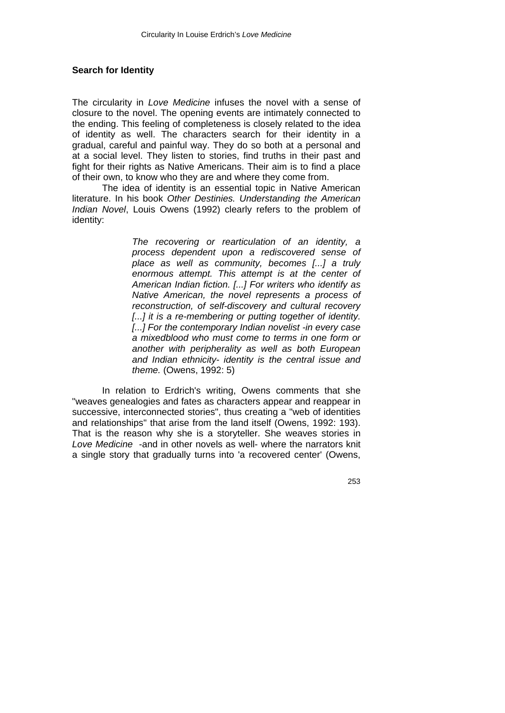#### **Search for Identity**

The circularity in *Love Medicine* infuses the novel with a sense of closure to the novel. The opening events are intimately connected to the ending. This feeling of completeness is closely related to the idea of identity as well. The characters search for their identity in a gradual, careful and painful way. They do so both at a personal and at a social level. They listen to stories, find truths in their past and fight for their rights as Native Americans. Their aim is to find a place of their own, to know who they are and where they come from.

 The idea of identity is an essential topic in Native American literature. In his book *Other Destinies. Understanding the American Indian Novel*, Louis Owens (1992) clearly refers to the problem of identity:

> *The recovering or rearticulation of an identity, a process dependent upon a rediscovered sense of place as well as community, becomes [...] a truly enormous attempt. This attempt is at the center of American Indian fiction. [...] For writers who identify as Native American, the novel represents a process of reconstruction, of self-discovery and cultural recovery*  [...] it is a re-membering or putting together of identity. *[...] For the contemporary Indian novelist -in every case a mixedblood who must come to terms in one form or another with peripherality as well as both European and Indian ethnicity- identity is the central issue and theme.* (Owens, 1992: 5)

In relation to Erdrich's writing, Owens comments that she "weaves genealogies and fates as characters appear and reappear in successive, interconnected stories", thus creating a "web of identities and relationships" that arise from the land itself (Owens, 1992: 193). That is the reason why she is a storyteller. She weaves stories in *Love Medicine* -and in other novels as well- where the narrators knit a single story that gradually turns into 'a recovered center' (Owens,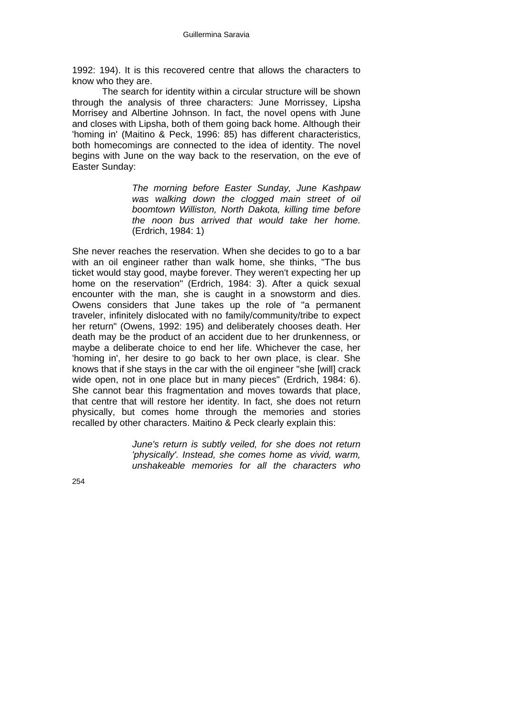1992: 194). It is this recovered centre that allows the characters to know who they are.

 The search for identity within a circular structure will be shown through the analysis of three characters: June Morrissey, Lipsha Morrisey and Albertine Johnson. In fact, the novel opens with June and closes with Lipsha, both of them going back home. Although their 'homing in' (Maitino & Peck, 1996: 85) has different characteristics, both homecomings are connected to the idea of identity. The novel begins with June on the way back to the reservation, on the eve of Easter Sunday:

> *The morning before Easter Sunday, June Kashpaw was walking down the clogged main street of oil boomtown Williston, North Dakota, killing time before the noon bus arrived that would take her home.*  (Erdrich, 1984: 1)

She never reaches the reservation. When she decides to go to a bar with an oil engineer rather than walk home, she thinks, "The bus ticket would stay good, maybe forever. They weren't expecting her up home on the reservation" (Erdrich, 1984: 3). After a quick sexual encounter with the man, she is caught in a snowstorm and dies. Owens considers that June takes up the role of "a permanent traveler, infinitely dislocated with no family/community/tribe to expect her return" (Owens, 1992: 195) and deliberately chooses death. Her death may be the product of an accident due to her drunkenness, or maybe a deliberate choice to end her life. Whichever the case, her 'homing in', her desire to go back to her own place, is clear. She knows that if she stays in the car with the oil engineer "she [will] crack wide open, not in one place but in many pieces" (Erdrich, 1984: 6). She cannot bear this fragmentation and moves towards that place, that centre that will restore her identity. In fact, she does not return physically, but comes home through the memories and stories recalled by other characters. Maitino & Peck clearly explain this:

> *June's return is subtly veiled, for she does not return 'physically'. Instead, she comes home as vivid, warm, unshakeable memories for all the characters who*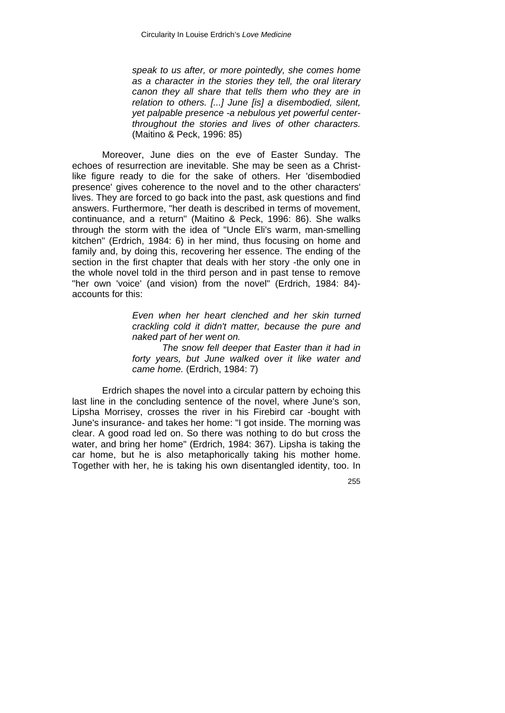*speak to us after, or more pointedly, she comes home as a character in the stories they tell, the oral literary canon they all share that tells them who they are in relation to others. [...] June [is] a disembodied, silent, yet palpable presence -a nebulous yet powerful centerthroughout the stories and lives of other characters.*  (Maitino & Peck, 1996: 85)

Moreover, June dies on the eve of Easter Sunday. The echoes of resurrection are inevitable. She may be seen as a Christlike figure ready to die for the sake of others. Her 'disembodied presence' gives coherence to the novel and to the other characters' lives. They are forced to go back into the past, ask questions and find answers. Furthermore, "her death is described in terms of movement, continuance, and a return" (Maitino & Peck, 1996: 86). She walks through the storm with the idea of "Uncle Eli's warm, man-smelling kitchen" (Erdrich, 1984: 6) in her mind, thus focusing on home and family and, by doing this, recovering her essence. The ending of the section in the first chapter that deals with her story -the only one in the whole novel told in the third person and in past tense to remove "her own 'voice' (and vision) from the novel" (Erdrich, 1984: 84) accounts for this:

> *Even when her heart clenched and her skin turned crackling cold it didn't matter, because the pure and naked part of her went on.*

> *The snow fell deeper that Easter than it had in forty years, but June walked over it like water and came home.* (Erdrich, 1984: 7)

Erdrich shapes the novel into a circular pattern by echoing this last line in the concluding sentence of the novel, where June's son, Lipsha Morrisey, crosses the river in his Firebird car -bought with June's insurance- and takes her home: "I got inside. The morning was clear. A good road led on. So there was nothing to do but cross the water, and bring her home" (Erdrich, 1984: 367). Lipsha is taking the car home, but he is also metaphorically taking his mother home. Together with her, he is taking his own disentangled identity, too. In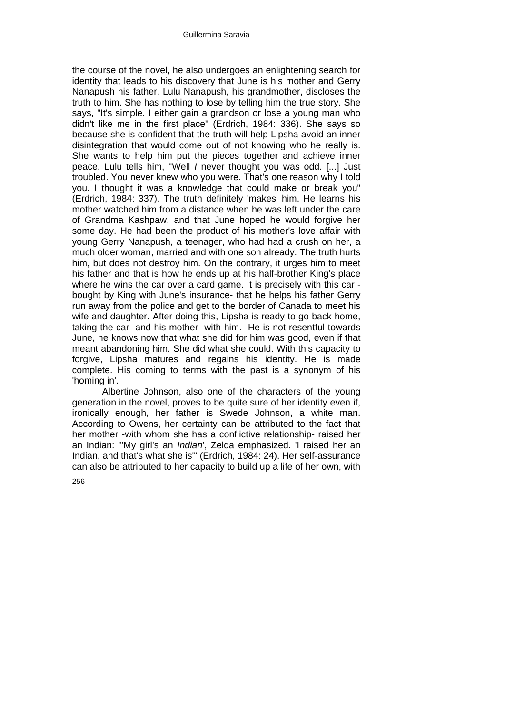the course of the novel, he also undergoes an enlightening search for identity that leads to his discovery that June is his mother and Gerry Nanapush his father. Lulu Nanapush, his grandmother, discloses the truth to him. She has nothing to lose by telling him the true story. She says, "It's simple. I either gain a grandson or lose a young man who didn't like me in the first place" (Erdrich, 1984: 336). She says so because she is confident that the truth will help Lipsha avoid an inner disintegration that would come out of not knowing who he really is. She wants to help him put the pieces together and achieve inner peace. Lulu tells him, "Well *I* never thought you was odd. [...] Just troubled. You never knew who you were. That's one reason why I told you. I thought it was a knowledge that could make or break you" (Erdrich, 1984: 337). The truth definitely 'makes' him. He learns his mother watched him from a distance when he was left under the care of Grandma Kashpaw, and that June hoped he would forgive her some day. He had been the product of his mother's love affair with young Gerry Nanapush, a teenager, who had had a crush on her, a much older woman, married and with one son already. The truth hurts him, but does not destroy him. On the contrary, it urges him to meet his father and that is how he ends up at his half-brother King's place where he wins the car over a card game. It is precisely with this car bought by King with June's insurance- that he helps his father Gerry run away from the police and get to the border of Canada to meet his wife and daughter. After doing this, Lipsha is ready to go back home, taking the car -and his mother- with him. He is not resentful towards June, he knows now that what she did for him was good, even if that meant abandoning him. She did what she could. With this capacity to forgive, Lipsha matures and regains his identity. He is made complete. His coming to terms with the past is a synonym of his 'homing in'.

 Albertine Johnson, also one of the characters of the young generation in the novel, proves to be quite sure of her identity even if, ironically enough, her father is Swede Johnson, a white man. According to Owens, her certainty can be attributed to the fact that her mother -with whom she has a conflictive relationship- raised her an Indian: "'My girl's an *Indian*', Zelda emphasized. 'I raised her an Indian, and that's what she is'" (Erdrich, 1984: 24). Her self-assurance can also be attributed to her capacity to build up a life of her own, with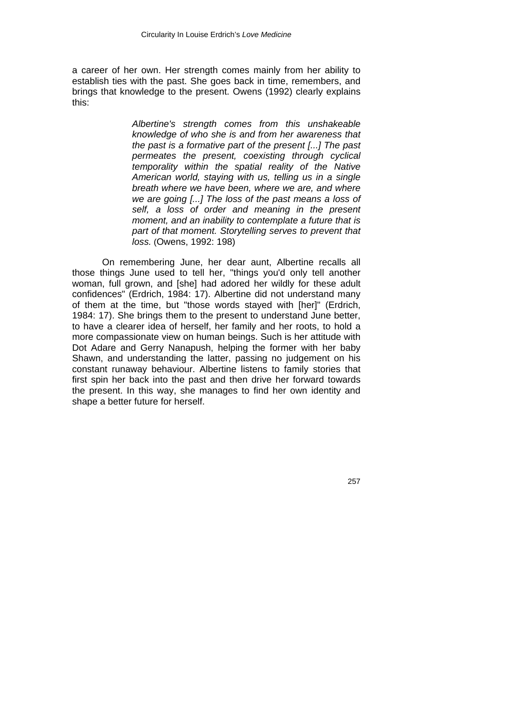a career of her own. Her strength comes mainly from her ability to establish ties with the past. She goes back in time, remembers, and brings that knowledge to the present. Owens (1992) clearly explains this:

> *Albertine's strength comes from this unshakeable knowledge of who she is and from her awareness that the past is a formative part of the present [...] The past permeates the present, coexisting through cyclical temporality within the spatial reality of the Native American world, staying with us, telling us in a single breath where we have been, where we are, and where we are going [...] The loss of the past means a loss of self, a loss of order and meaning in the present moment, and an inability to contemplate a future that is part of that moment. Storytelling serves to prevent that loss.* (Owens, 1992: 198)

On remembering June, her dear aunt, Albertine recalls all those things June used to tell her, "things you'd only tell another woman, full grown, and [she] had adored her wildly for these adult confidences" (Erdrich, 1984: 17). Albertine did not understand many of them at the time, but "those words stayed with [her]" (Erdrich, 1984: 17). She brings them to the present to understand June better, to have a clearer idea of herself, her family and her roots, to hold a more compassionate view on human beings. Such is her attitude with Dot Adare and Gerry Nanapush, helping the former with her baby Shawn, and understanding the latter, passing no judgement on his constant runaway behaviour. Albertine listens to family stories that first spin her back into the past and then drive her forward towards the present. In this way, she manages to find her own identity and shape a better future for herself.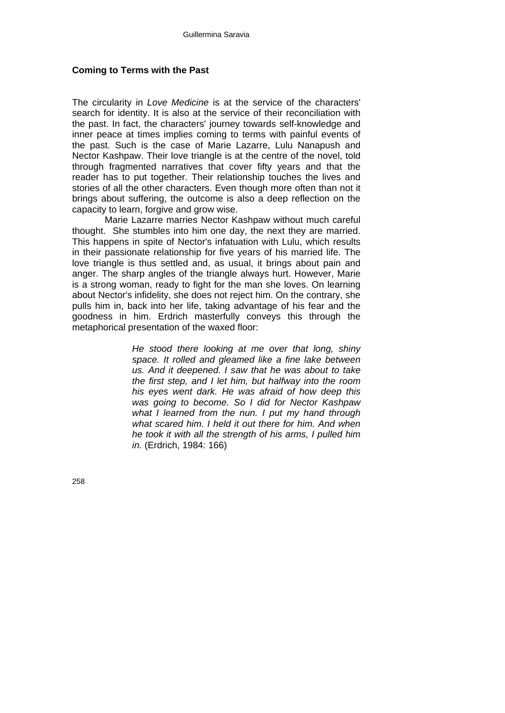#### **Coming to Terms with the Past**

The circularity in *Love Medicine* is at the service of the characters' search for identity. It is also at the service of their reconciliation with the past. In fact, the characters' journey towards self-knowledge and inner peace at times implies coming to terms with painful events of the past. Such is the case of Marie Lazarre, Lulu Nanapush and Nector Kashpaw. Their love triangle is at the centre of the novel, told through fragmented narratives that cover fifty years and that the reader has to put together. Their relationship touches the lives and stories of all the other characters. Even though more often than not it brings about suffering, the outcome is also a deep reflection on the capacity to learn, forgive and grow wise.

 Marie Lazarre marries Nector Kashpaw without much careful thought. She stumbles into him one day, the next they are married. This happens in spite of Nector's infatuation with Lulu, which results in their passionate relationship for five years of his married life. The love triangle is thus settled and, as usual, it brings about pain and anger. The sharp angles of the triangle always hurt. However, Marie is a strong woman, ready to fight for the man she loves. On learning about Nector's infidelity, she does not reject him. On the contrary, she pulls him in, back into her life, taking advantage of his fear and the goodness in him. Erdrich masterfully conveys this through the metaphorical presentation of the waxed floor:

> *He stood there looking at me over that long, shiny space. It rolled and gleamed like a fine lake between us. And it deepened. I saw that he was about to take the first step, and I let him, but halfway into the room his eyes went dark. He was afraid of how deep this was going to become. So I did for Nector Kashpaw what I learned from the nun. I put my hand through what scared him. I held it out there for him. And when he took it with all the strength of his arms, I pulled him in.* (Erdrich, 1984: 166)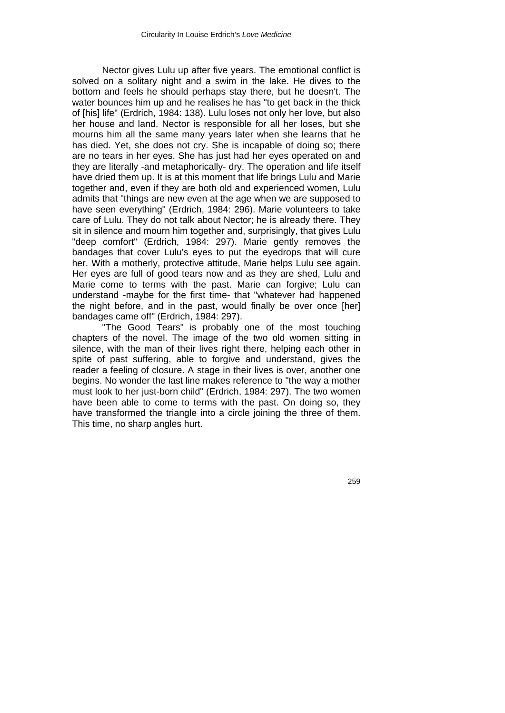Nector gives Lulu up after five years. The emotional conflict is solved on a solitary night and a swim in the lake. He dives to the bottom and feels he should perhaps stay there, but he doesn't. The water bounces him up and he realises he has "to get back in the thick of [his] life" (Erdrich, 1984: 138). Lulu loses not only her love, but also her house and land. Nector is responsible for all her loses, but she mourns him all the same many years later when she learns that he has died. Yet, she does not cry. She is incapable of doing so; there are no tears in her eyes. She has just had her eyes operated on and they are literally -and metaphorically- dry. The operation and life itself have dried them up. It is at this moment that life brings Lulu and Marie together and, even if they are both old and experienced women, Lulu admits that "things are new even at the age when we are supposed to have seen everything" (Erdrich, 1984: 296). Marie volunteers to take care of Lulu. They do not talk about Nector; he is already there. They sit in silence and mourn him together and, surprisingly, that gives Lulu "deep comfort" (Erdrich, 1984: 297). Marie gently removes the bandages that cover Lulu's eyes to put the eyedrops that will cure her. With a motherly, protective attitude, Marie helps Lulu see again. Her eyes are full of good tears now and as they are shed, Lulu and Marie come to terms with the past. Marie can forgive; Lulu can understand -maybe for the first time- that "whatever had happened the night before, and in the past, would finally be over once [her] bandages came off" (Erdrich, 1984: 297).

"The Good Tears" is probably one of the most touching chapters of the novel. The image of the two old women sitting in silence, with the man of their lives right there, helping each other in spite of past suffering, able to forgive and understand, gives the reader a feeling of closure. A stage in their lives is over, another one begins. No wonder the last line makes reference to "the way a mother must look to her just-born child" (Erdrich, 1984: 297). The two women have been able to come to terms with the past. On doing so, they have transformed the triangle into a circle joining the three of them. This time, no sharp angles hurt.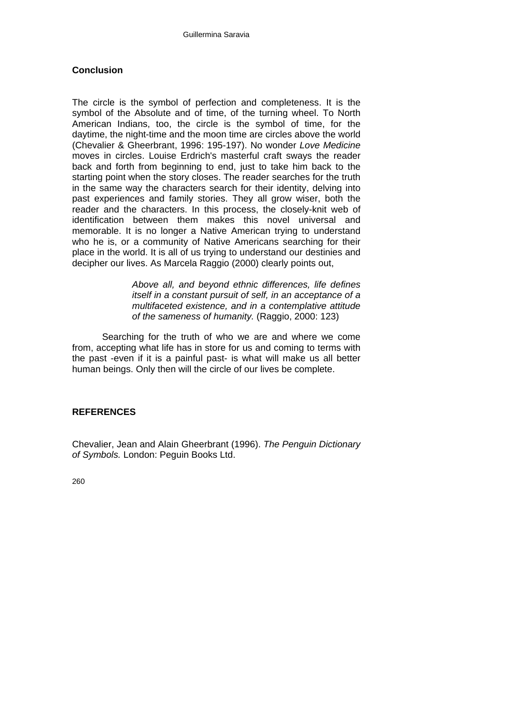# **Conclusion**

The circle is the symbol of perfection and completeness. It is the symbol of the Absolute and of time, of the turning wheel. To North American Indians, too, the circle is the symbol of time, for the daytime, the night-time and the moon time are circles above the world (Chevalier & Gheerbrant, 1996: 195-197). No wonder *Love Medicine* moves in circles. Louise Erdrich's masterful craft sways the reader back and forth from beginning to end, just to take him back to the starting point when the story closes. The reader searches for the truth in the same way the characters search for their identity, delving into past experiences and family stories. They all grow wiser, both the reader and the characters. In this process, the closely-knit web of identification between them makes this novel universal and memorable. It is no longer a Native American trying to understand who he is, or a community of Native Americans searching for their place in the world. It is all of us trying to understand our destinies and decipher our lives. As Marcela Raggio (2000) clearly points out,

> *Above all, and beyond ethnic differences, life defines itself in a constant pursuit of self, in an acceptance of a multifaceted existence, and in a contemplative attitude of the sameness of humanity.* (Raggio, 2000: 123)

Searching for the truth of who we are and where we come from, accepting what life has in store for us and coming to terms with the past -even if it is a painful past- is what will make us all better human beings. Only then will the circle of our lives be complete.

#### **REFERENCES**

Chevalier, Jean and Alain Gheerbrant (1996). *The Penguin Dictionary of Symbols.* London: Peguin Books Ltd.